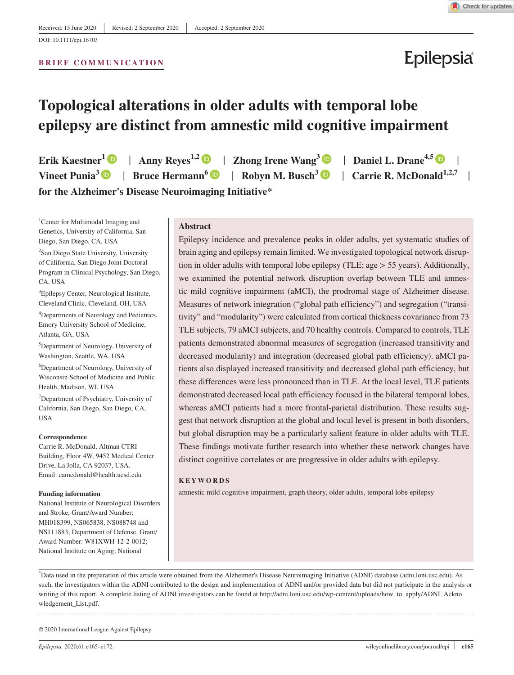DOI: 10.1111/epi.16703

#### **BRIEF COMMUNICATION**

# Epilepsia

# **Topological alterations in older adults with temporal lobe epilepsy are distinct from amnestic mild cognitive impairment**

**Erik Kaestner**<sup>[1](https://orcid.org/0000-0003-3252-5365)</sup>  $\bullet$  | Anny Reves<sup>1,[2](https://orcid.org/0000-0003-0625-6990)</sup>  $\bullet$  | Zhong Irene Wang<sup>3</sup>  $\bullet$  | Daniel L. Drane<sup>4,[5](https://orcid.org/0000-0001-8747-672X)</sup>  $\bullet$ **Vineet Punia<sup>[3](https://orcid.org/0000-0002-5442-4912)</sup>**  $\bullet$  **| Bruce Hermann<sup>[6](https://orcid.org/0000-0003-0133-4427)</sup>**  $\bullet$  **| Robyn M. Busch<sup>3</sup>**  $\bullet$  **| Carrie R. McDonald<sup>1,2,7</sup> | for the Alzheimer's Disease Neuroimaging Initiative\***

<sup>1</sup>Center for Multimodal Imaging and Genetics, University of California, San Diego, San Diego, CA, USA

<sup>2</sup>San Diego State University, University of California, San Diego Joint Doctoral Program in Clinical Psychology, San Diego, CA, USA

3 Epilepsy Center, Neurological Institute, Cleveland Clinic, Cleveland, OH, USA

4 Departments of Neurology and Pediatrics, Emory University School of Medicine, Atlanta, GA, USA

5 Department of Neurology, University of Washington, Seattle, WA, USA

6 Department of Neurology, University of Wisconsin School of Medicine and Public Health, Madison, WI, USA

7 Department of Psychiatry, University of California, San Diego, San Diego, CA, USA

#### **Correspondence**

Carrie R. McDonald, Altman CTRI Building, Floor 4W, 9452 Medical Center Drive, La Jolla, CA 92037, USA. Email: [camcdonald@health.ucsd.edu](mailto:camcdonald@health.ucsd.edu)

#### **Funding information**

National Institute of Neurological Disorders and Stroke, Grant/Award Number: MH018399, NS065838, NS088748 and NS111883; Department of Defense, Grant/ Award Number: W81XWH-12-2-0012; National Institute on Aging; National

#### **Abstract**

Epilepsy incidence and prevalence peaks in older adults, yet systematic studies of brain aging and epilepsy remain limited. We investigated topological network disruption in older adults with temporal lobe epilepsy (TLE; age > 55 years). Additionally, we examined the potential network disruption overlap between TLE and amnestic mild cognitive impairment (aMCI), the prodromal stage of Alzheimer disease. Measures of network integration ("global path efficiency") and segregation ("transitivity" and "modularity") were calculated from cortical thickness covariance from 73 TLE subjects, 79 aMCI subjects, and 70 healthy controls. Compared to controls, TLE patients demonstrated abnormal measures of segregation (increased transitivity and decreased modularity) and integration (decreased global path efficiency). aMCI patients also displayed increased transitivity and decreased global path efficiency, but these differences were less pronounced than in TLE. At the local level, TLE patients demonstrated decreased local path efficiency focused in the bilateral temporal lobes, whereas aMCI patients had a more frontal-parietal distribution. These results suggest that network disruption at the global and local level is present in both disorders, but global disruption may be a particularly salient feature in older adults with TLE. These findings motivate further research into whether these network changes have distinct cognitive correlates or are progressive in older adults with epilepsy.

### **KEYWORDS**

amnestic mild cognitive impairment, graph theory, older adults, temporal lobe epilepsy

\* Data used in the preparation of this article were obtained from the Alzheimer's Disease Neuroimaging Initiative (ADNI) database (adni.loni.usc.edu). As such, the investigators within the ADNI contributed to the design and implementation of ADNI and/or provided data but did not participate in the analysis or writing of this report. A complete listing of ADNI investigators can be found at http://adni.loni.usc.edu/wp-content/uploads/how to apply/ADNI\_Ackno [wledgement\\_List.pdf.](http://adni.loni.usc.edu/wp-content/uploads/how_to_apply/ADNI_Acknowledgement_List.pdf.)

© 2020 International League Against Epilepsy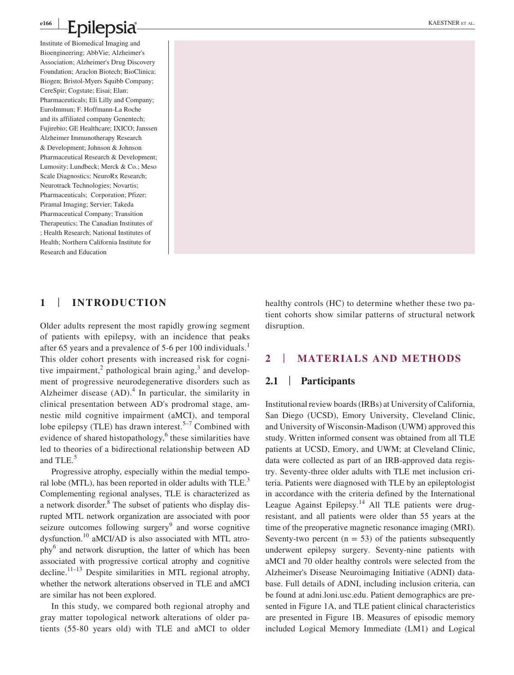# **e166 <sup>|</sup>**

Institute of Biomedical Imaging and Bioengineering; AbbVie; Alzheimer's Association; Alzheimer's Drug Discovery Foundation; Araclon Biotech; BioClinica; Biogen; Bristol-Myers Squibb Company; CereSpir; Cogstate; Eisai; Elan; Pharmaceuticals; Eli Lilly and Company; EuroImmun; F. Hoffmann-La Roche and its affiliated company Genentech; Fujirebio; GE Healthcare; IXICO; Janssen Alzheimer Immunotherapy Research & Development; Johnson & Johnson Pharmaceutical Research & Development; Lumosity; Lundbeck; Merck & Co.; Meso Scale Diagnostics; NeuroRx Research; Neurotrack Technologies; Novartis; Pharmaceuticals; Corporation; Pfizer; Piramal Imaging; Servier; Takeda Pharmaceutical Company; Transition Therapeutics; The Canadian Institutes of ; Health Research; National Institutes of Health; Northern California Institute for Research and Education

# healthy controls (HC) to determine whether these two patient cohorts show similar patterns of structural network disruption.

# **2** | **MATERIALS AND METHODS**

## **2.1** | **Participants**

Institutional review boards (IRBs) at University of California, San Diego (UCSD), Emory University, Cleveland Clinic, and University of Wisconsin-Madison (UWM) approved this study. Written informed consent was obtained from all TLE patients at UCSD, Emory, and UWM; at Cleveland Clinic, data were collected as part of an IRB-approved data registry. Seventy-three older adults with TLE met inclusion criteria. Patients were diagnosed with TLE by an epileptologist in accordance with the criteria defined by the International League Against Epilepsy.<sup>14</sup> All TLE patients were drugresistant, and all patients were older than 55 years at the time of the preoperative magnetic resonance imaging (MRI). Seventy-two percent  $(n = 53)$  of the patients subsequently underwent epilepsy surgery. Seventy-nine patients with aMCI and 70 older healthy controls were selected from the Alzheimer's Disease Neuroimaging Initiative (ADNI) database. Full details of ADNI, including inclusion criteria, can be found at adni.loni.usc.edu. Patient demographics are presented in Figure 1A, and TLE patient clinical characteristics are presented in Figure 1B. Measures of episodic memory included Logical Memory Immediate (LM1) and Logical

# **1** | **INTRODUCTION**

Older adults represent the most rapidly growing segment of patients with epilepsy, with an incidence that peaks after 65 years and a prevalence of 5-6 per 100 individuals.<sup>1</sup> This older cohort presents with increased risk for cognitive impairment,<sup>2</sup> pathological brain aging,<sup>3</sup> and development of progressive neurodegenerative disorders such as Alzheimer disease  $(AD)$ .<sup>4</sup> In particular, the similarity in clinical presentation between AD's prodromal stage, amnestic mild cognitive impairment (aMCI), and temporal lobe epilepsy (TLE) has drawn interest.<sup>5–7</sup> Combined with evidence of shared histopathology,<sup>6</sup> these similarities have led to theories of a bidirectional relationship between AD and TLE.<sup>5</sup>

Progressive atrophy, especially within the medial temporal lobe (MTL), has been reported in older adults with  $TLE<sup>3</sup>$ Complementing regional analyses, TLE is characterized as a network disorder.<sup>8</sup> The subset of patients who display disrupted MTL network organization are associated with poor seizure outcomes following surgery $9$  and worse cognitive dysfunction.10 aMCI/AD is also associated with MTL atrophy<sup>6</sup> and network disruption, the latter of which has been associated with progressive cortical atrophy and cognitive decline.<sup>11–13</sup> Despite similarities in MTL regional atrophy, whether the network alterations observed in TLE and aMCI are similar has not been explored.

In this study, we compared both regional atrophy and gray matter topological network alterations of older patients (55-80 years old) with TLE and aMCI to older

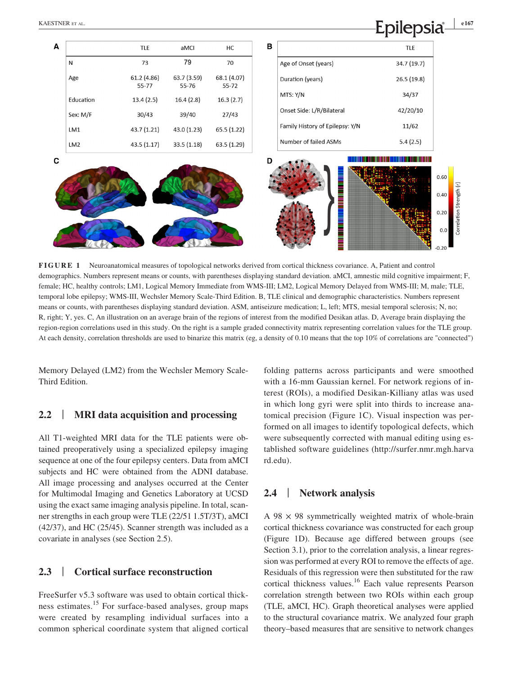

**FIGURE 1** Neuroanatomical measures of topological networks derived from cortical thickness covariance. A, Patient and control demographics. Numbers represent means or counts, with parentheses displaying standard deviation. aMCI, amnestic mild cognitive impairment; F, female; HC, healthy controls; LM1, Logical Memory Immediate from WMS-III; LM2, Logical Memory Delayed from WMS-III; M, male; TLE, temporal lobe epilepsy; WMS-III, Wechsler Memory Scale-Third Edition. B, TLE clinical and demographic characteristics. Numbers represent means or counts, with parentheses displaying standard deviation. ASM, antiseizure medication; L, left; MTS, mesial temporal sclerosis; N, no; R, right; Y, yes. C, An illustration on an average brain of the regions of interest from the modified Desikan atlas. D, Average brain displaying the region-region correlations used in this study. On the right is a sample graded connectivity matrix representing correlation values for the TLE group. At each density, correlation thresholds are used to binarize this matrix (eg, a density of 0.10 means that the top 10% of correlations are "connected")

Memory Delayed (LM2) from the Wechsler Memory Scale-Third Edition.

## **2.2** | **MRI data acquisition and processing**

All T1-weighted MRI data for the TLE patients were obtained preoperatively using a specialized epilepsy imaging sequence at one of the four epilepsy centers. Data from aMCI subjects and HC were obtained from the ADNI database. All image processing and analyses occurred at the Center for Multimodal Imaging and Genetics Laboratory at UCSD using the exact same imaging analysis pipeline. In total, scanner strengths in each group were TLE (22/51 1.5T/3T), aMCI (42/37), and HC (25/45). Scanner strength was included as a covariate in analyses (see Section 2.5).

## **2.3** | **Cortical surface reconstruction**

FreeSurfer v5.3 software was used to obtain cortical thickness estimates.15 For surface-based analyses, group maps were created by resampling individual surfaces into a common spherical coordinate system that aligned cortical folding patterns across participants and were smoothed with a 16-mm Gaussian kernel. For network regions of interest (ROIs), a modified Desikan-Killiany atlas was used in which long gyri were split into thirds to increase anatomical precision (Figure 1C). Visual inspection was performed on all images to identify topological defects, which were subsequently corrected with manual editing using established software guidelines ([http://surfer.nmr.mgh.harva](http://surfer.nmr.mgh.harvard.edu) [rd.edu\)](http://surfer.nmr.mgh.harvard.edu).

## **2.4** | **Network analysis**

A  $98 \times 98$  symmetrically weighted matrix of whole-brain cortical thickness covariance was constructed for each group (Figure 1D). Because age differed between groups (see Section 3.1), prior to the correlation analysis, a linear regression was performed at every ROI to remove the effects of age. Residuals of this regression were then substituted for the raw cortical thickness values.16 Each value represents Pearson correlation strength between two ROIs within each group (TLE, aMCI, HC). Graph theoretical analyses were applied to the structural covariance matrix. We analyzed four graph theory–based measures that are sensitive to network changes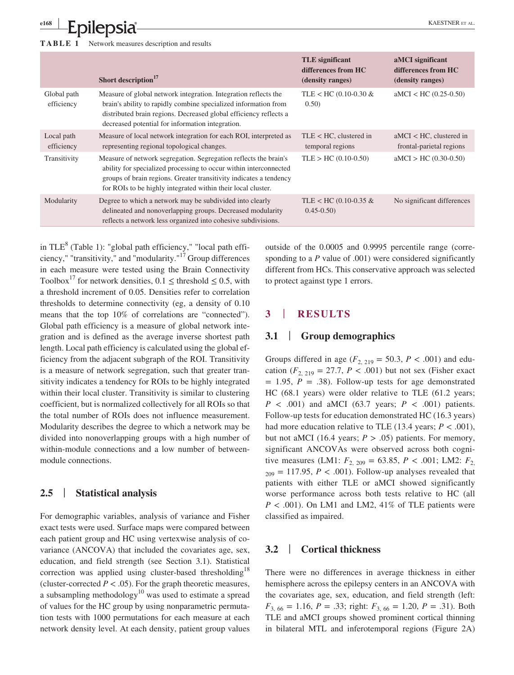## **e168 <sup>|</sup>** KAESTNER et al.

**TABLE 1** Network measures description and results

|                           | Short description <sup>17</sup>                                                                                                                                                                                                                                             | <b>TLE</b> significant<br>differences from HC<br>(density ranges) | aMCI significant<br>differences from HC<br>(density ranges) |
|---------------------------|-----------------------------------------------------------------------------------------------------------------------------------------------------------------------------------------------------------------------------------------------------------------------------|-------------------------------------------------------------------|-------------------------------------------------------------|
| Global path<br>efficiency | Measure of global network integration. Integration reflects the<br>brain's ability to rapidly combine specialized information from<br>distributed brain regions. Decreased global efficiency reflects a<br>decreased potential for information integration.                 | TLE < HC $(0.10-0.30 \&$<br>0.50)                                 | $aMCI < HC (0.25-0.50)$                                     |
| Local path<br>efficiency  | Measure of local network integration for each ROI, interpreted as<br>representing regional topological changes.                                                                                                                                                             | $TLE < HC$ , clustered in<br>temporal regions                     | $aMCI < HC$ , clustered in<br>frontal-parietal regions      |
| Transitivity              | Measure of network segregation. Segregation reflects the brain's<br>ability for specialized processing to occur within interconnected<br>groups of brain regions. Greater transitivity indicates a tendency<br>for ROIs to be highly integrated within their local cluster. | $TLE > HC (0.10-0.50)$                                            | $aMCI > HC(0.30-0.50)$                                      |
| Modularity                | Degree to which a network may be subdivided into clearly<br>delineated and nonoverlapping groups. Decreased modularity<br>reflects a network less organized into cohesive subdivisions.                                                                                     | TLE $<$ HC (0.10-0.35 &<br>$0.45 - 0.50$                          | No significant differences                                  |

in TLE<sup>8</sup> (Table 1): "global path efficiency," "local path efficiency," "transitivity," and "modularity."17 Group differences in each measure were tested using the Brain Connectivity Toolbox<sup>17</sup> for network densities,  $0.1 \leq$  threshold  $\leq$  0.5, with a threshold increment of 0.05. Densities refer to correlation thresholds to determine connectivity (eg, a density of 0.10 means that the top 10% of correlations are "connected"). Global path efficiency is a measure of global network integration and is defined as the average inverse shortest path length. Local path efficiency is calculated using the global efficiency from the adjacent subgraph of the ROI. Transitivity is a measure of network segregation, such that greater transitivity indicates a tendency for ROIs to be highly integrated within their local cluster. Transitivity is similar to clustering coefficient, but is normalized collectively for all ROIs so that the total number of ROIs does not influence measurement. Modularity describes the degree to which a network may be divided into nonoverlapping groups with a high number of within-module connections and a low number of betweenmodule connections.

# **2.5** | **Statistical analysis**

For demographic variables, analysis of variance and Fisher exact tests were used. Surface maps were compared between each patient group and HC using vertexwise analysis of covariance (ANCOVA) that included the covariates age, sex, education, and field strength (see Section 3.1). Statistical correction was applied using cluster-based thresholding<sup>18</sup> (cluster-corrected  $P < .05$ ). For the graph theoretic measures, a subsampling methodology<sup>10</sup> was used to estimate a spread of values for the HC group by using nonparametric permutation tests with 1000 permutations for each measure at each network density level. At each density, patient group values outside of the 0.0005 and 0.9995 percentile range (corresponding to a P value of .001) were considered significantly different from HCs. This conservative approach was selected to protect against type 1 errors.

# **3** | **RESULTS**

### **3.1** | **Group demographics**

Groups differed in age ( $F_{2, 219} = 50.3, P < .001$ ) and education ( $F_{2, 219} = 27.7, P < .001$ ) but not sex (Fisher exact  $= 1.95$ ,  $P = .38$ ). Follow-up tests for age demonstrated HC (68.1 years) were older relative to TLE (61.2 years;  $P < .001$ ) and aMCI (63.7 years;  $P < .001$ ) patients. Follow-up tests for education demonstrated HC (16.3 years) had more education relative to TLE (13.4 years;  $P < .001$ ), but not aMCI (16.4 years;  $P > .05$ ) patients. For memory, significant ANCOVAs were observed across both cognitive measures (LM1:  $F_{2, 209} = 63.85, P < .001$ ; LM2:  $F_{2, 209} = 63.85, P < .001$ ;  $_{209}$  = 117.95, *P* < .001). Follow-up analyses revealed that patients with either TLE or aMCI showed significantly worse performance across both tests relative to HC (all  $P < .001$ ). On LM1 and LM2, 41% of TLE patients were classified as impaired.

# **3.2** | **Cortical thickness**

There were no differences in average thickness in either hemisphere across the epilepsy centers in an ANCOVA with the covariates age, sex, education, and field strength (left:  $F_{3, 66} = 1.16$ ,  $P = .33$ ; right:  $F_{3, 66} = 1.20$ ,  $P = .31$ ). Both TLE and aMCI groups showed prominent cortical thinning in bilateral MTL and inferotemporal regions (Figure 2A)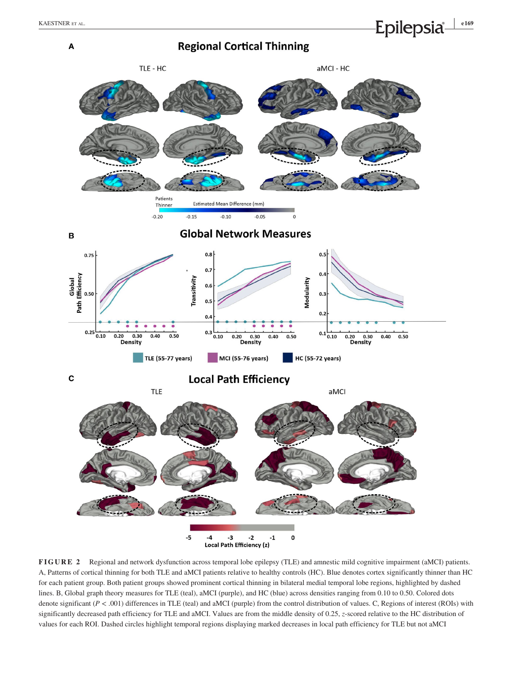A

# **Regional Cortical Thinning**



**FIGURE 2** Regional and network dysfunction across temporal lobe epilepsy (TLE) and amnestic mild cognitive impairment (aMCI) patients. A, Patterns of cortical thinning for both TLE and aMCI patients relative to healthy controls (HC). Blue denotes cortex significantly thinner than HC for each patient group. Both patient groups showed prominent cortical thinning in bilateral medial temporal lobe regions, highlighted by dashed lines. B, Global graph theory measures for TLE (teal), aMCI (purple), and HC (blue) across densities ranging from 0.10 to 0.50. Colored dots denote significant ( $P < .001$ ) differences in TLE (teal) and aMCI (purple) from the control distribution of values. C, Regions of interest (ROIs) with significantly decreased path efficiency for TLE and aMCI. Values are from the middle density of 0.25, *z*-scored relative to the HC distribution of values for each ROI. Dashed circles highlight temporal regions displaying marked decreases in local path efficiency for TLE but not aMCI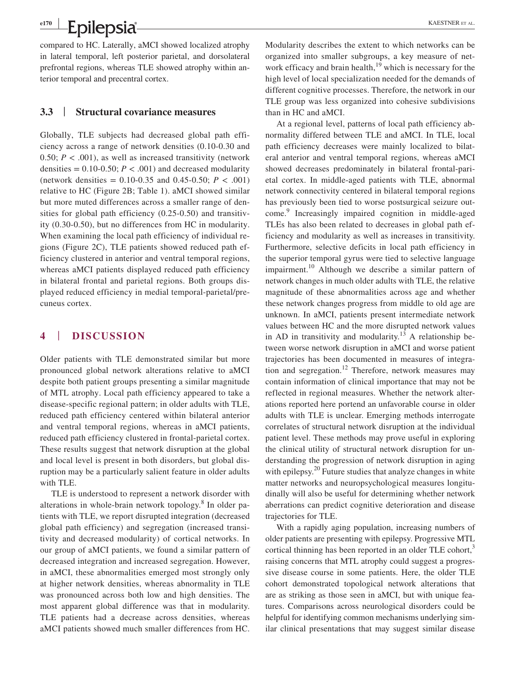**Epilepsia Epilepsia Banda Banda Banda Banda Banda Banda Banda Banda Banda Banda Banda Banda Banda Banda Banda Banda Banda Banda Banda Banda Banda Banda Banda Banda Banda Banda Banda Banda Banda Banda Banda Banda Banda** 

compared to HC. Laterally, aMCI showed localized atrophy in lateral temporal, left posterior parietal, and dorsolateral prefrontal regions, whereas TLE showed atrophy within anterior temporal and precentral cortex.

## **3.3** | **Structural covariance measures**

Globally, TLE subjects had decreased global path efficiency across a range of network densities (0.10-0.30 and 0.50;  $P < .001$ ), as well as increased transitivity (network densities  $= 0.10 - 0.50$ ;  $P < .001$ ) and decreased modularity (network densities =  $0.10$ -0.35 and 0.45-0.50;  $P < .001$ ) relative to HC (Figure 2B; Table 1). aMCI showed similar but more muted differences across a smaller range of densities for global path efficiency (0.25-0.50) and transitivity (0.30-0.50), but no differences from HC in modularity. When examining the local path efficiency of individual regions (Figure 2C), TLE patients showed reduced path efficiency clustered in anterior and ventral temporal regions, whereas aMCI patients displayed reduced path efficiency in bilateral frontal and parietal regions. Both groups displayed reduced efficiency in medial temporal-parietal/precuneus cortex.

## **4** | **DISCUSSION**

Older patients with TLE demonstrated similar but more pronounced global network alterations relative to aMCI despite both patient groups presenting a similar magnitude of MTL atrophy. Local path efficiency appeared to take a disease-specific regional pattern; in older adults with TLE, reduced path efficiency centered within bilateral anterior and ventral temporal regions, whereas in aMCI patients, reduced path efficiency clustered in frontal-parietal cortex. These results suggest that network disruption at the global and local level is present in both disorders, but global disruption may be a particularly salient feature in older adults with TLE.

TLE is understood to represent a network disorder with alterations in whole-brain network topology.<sup>8</sup> In older patients with TLE, we report disrupted integration (decreased global path efficiency) and segregation (increased transitivity and decreased modularity) of cortical networks. In our group of aMCI patients, we found a similar pattern of decreased integration and increased segregation. However, in aMCI, these abnormalities emerged most strongly only at higher network densities, whereas abnormality in TLE was pronounced across both low and high densities. The most apparent global difference was that in modularity. TLE patients had a decrease across densities, whereas aMCI patients showed much smaller differences from HC. Modularity describes the extent to which networks can be organized into smaller subgroups, a key measure of network efficacy and brain health, $19$  which is necessary for the high level of local specialization needed for the demands of different cognitive processes. Therefore, the network in our TLE group was less organized into cohesive subdivisions than in HC and aMCI.

At a regional level, patterns of local path efficiency abnormality differed between TLE and aMCI. In TLE, local path efficiency decreases were mainly localized to bilateral anterior and ventral temporal regions, whereas aMCI showed decreases predominately in bilateral frontal-parietal cortex. In middle-aged patients with TLE, abnormal network connectivity centered in bilateral temporal regions has previously been tied to worse postsurgical seizure outcome.<sup>9</sup> Increasingly impaired cognition in middle-aged TLEs has also been related to decreases in global path efficiency and modularity as well as increases in transitivity. Furthermore, selective deficits in local path efficiency in the superior temporal gyrus were tied to selective language impairment.<sup>10</sup> Although we describe a similar pattern of network changes in much older adults with TLE, the relative magnitude of these abnormalities across age and whether these network changes progress from middle to old age are unknown. In aMCI, patients present intermediate network values between HC and the more disrupted network values in AD in transitivity and modularity.<sup>13</sup> A relationship between worse network disruption in aMCI and worse patient trajectories has been documented in measures of integration and segregation.<sup>12</sup> Therefore, network measures may contain information of clinical importance that may not be reflected in regional measures. Whether the network alterations reported here portend an unfavorable course in older adults with TLE is unclear. Emerging methods interrogate correlates of structural network disruption at the individual patient level. These methods may prove useful in exploring the clinical utility of structural network disruption for understanding the progression of network disruption in aging with epilepsy. $20$  Future studies that analyze changes in white matter networks and neuropsychological measures longitudinally will also be useful for determining whether network aberrations can predict cognitive deterioration and disease trajectories for TLE.

With a rapidly aging population, increasing numbers of older patients are presenting with epilepsy. Progressive MTL cortical thinning has been reported in an older TLE cohort,<sup>3</sup> raising concerns that MTL atrophy could suggest a progressive disease course in some patients. Here, the older TLE cohort demonstrated topological network alterations that are as striking as those seen in aMCI, but with unique features. Comparisons across neurological disorders could be helpful for identifying common mechanisms underlying similar clinical presentations that may suggest similar disease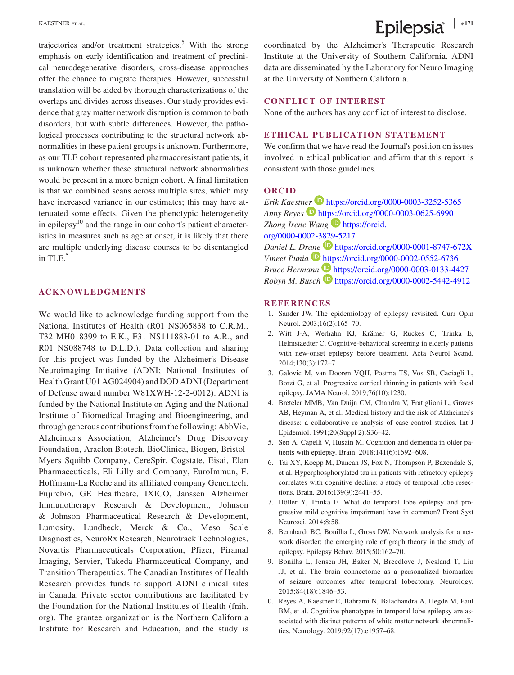trajectories and/or treatment strategies.<sup>5</sup> With the strong emphasis on early identification and treatment of preclinical neurodegenerative disorders, cross-disease approaches offer the chance to migrate therapies. However, successful translation will be aided by thorough characterizations of the overlaps and divides across diseases. Our study provides evidence that gray matter network disruption is common to both disorders, but with subtle differences. However, the pathological processes contributing to the structural network abnormalities in these patient groups is unknown. Furthermore, as our TLE cohort represented pharmacoresistant patients, it is unknown whether these structural network abnormalities would be present in a more benign cohort. A final limitation is that we combined scans across multiple sites, which may have increased variance in our estimates; this may have attenuated some effects. Given the phenotypic heterogeneity in epilepsy<sup>10</sup> and the range in our cohort's patient characteristics in measures such as age at onset, it is likely that there are multiple underlying disease courses to be disentangled in TLE. $5$ 

#### **ACKNOWLEDGMENTS**

We would like to acknowledge funding support from the National Institutes of Health (R01 NS065838 to C.R.M., T32 MH018399 to E.K., F31 NS111883-01 to A.R., and R01 NS088748 to D.L.D.). Data collection and sharing for this project was funded by the Alzheimer's Disease Neuroimaging Initiative (ADNI; National Institutes of Health Grant U01 AG024904) and DOD ADNI (Department of Defense award number W81XWH-12-2-0012). ADNI is funded by the National Institute on Aging and the National Institute of Biomedical Imaging and Bioengineering, and through generous contributions from the following: AbbVie, Alzheimer's Association, Alzheimer's Drug Discovery Foundation, Araclon Biotech, BioClinica, Biogen, Bristol-Myers Squibb Company, CereSpir, Cogstate, Eisai, Elan Pharmaceuticals, Eli Lilly and Company, EuroImmun, F. Hoffmann-La Roche and its affiliated company Genentech, Fujirebio, GE Healthcare, IXICO, Janssen Alzheimer Immunotherapy Research & Development, Johnson & Johnson Pharmaceutical Research & Development, Lumosity, Lundbeck, Merck & Co., Meso Scale Diagnostics, NeuroRx Research, Neurotrack Technologies, Novartis Pharmaceuticals Corporation, Pfizer, Piramal Imaging, Servier, Takeda Pharmaceutical Company, and Transition Therapeutics. The Canadian Institutes of Health Research provides funds to support ADNI clinical sites in Canada. Private sector contributions are facilitated by the Foundation for the National Institutes of Health ([fnih.](http://fnih.org) [org\)](http://fnih.org). The grantee organization is the Northern California Institute for Research and Education, and the study is

**Epilepsia**  $\frac{e^{171}}{2}$ 

coordinated by the Alzheimer's Therapeutic Research Institute at the University of Southern California. ADNI data are disseminated by the Laboratory for Neuro Imaging at the University of Southern California.

#### **CONFLICT OF INTEREST**

None of the authors has any conflict of interest to disclose.

#### **ETHICAL PUBLICATION STATEMENT**

We confirm that we have read the Journal's position on issues involved in ethical publication and affirm that this report is consistent with those guidelines.

### **ORCID**

*Erik Kaest[ner](https://orcid.org/0000-0003-0625-6990)* <https://orcid.org/0000-0003-3252-5365> *Anny Reyes* <https://orcid.org/0000-0003-0625-6990> *Zhong Irene Wang* [https://orcid.](https://orcid.org/0000-0002-3829-5217) [org/0000-0002-3829-5217](https://orcid.org/0000-0002-3829-5217) *Daniel L. Dr[ane](https://orcid.org/0000-0002-0552-6736)* <https://orcid.org/0000-0001-8747-672X>

*Vineet Punia* <https://orcid.org/0000-0002-0552-6736> *Bruce Hermann* **D** <https://orcid.org/0000-0003-0133-4427> *Robyn M. Busch* <https://orcid.org/0000-0002-5442-4912>

#### **REFERENCES**

- 1. Sander JW. The epidemiology of epilepsy revisited. Curr Opin Neurol. 2003;16(2):165–70.
- 2. Witt J-A, Werhahn KJ, Krämer G, Ruckes C, Trinka E, Helmstaedter C. Cognitive-behavioral screening in elderly patients with new-onset epilepsy before treatment. Acta Neurol Scand. 2014;130(3):172–7.
- 3. Galovic M, van Dooren VQH, Postma TS, Vos SB, Caciagli L, Borzì G, et al. Progressive cortical thinning in patients with focal epilepsy. JAMA Neurol. 2019;76(10):1230.
- 4. Breteler MMB, Van Duijn CM, Chandra V, Fratiglioni L, Graves AB, Heyman A, et al. Medical history and the risk of Alzheimer's disease: a collaborative re-analysis of case-control studies. Int J Epidemiol. 1991;20(Suppl 2):S36–42.
- 5. Sen A, Capelli V, Husain M. Cognition and dementia in older patients with epilepsy. Brain. 2018;141(6):1592–608.
- 6. Tai XY, Koepp M, Duncan JS, Fox N, Thompson P, Baxendale S, et al. Hyperphosphorylated tau in patients with refractory epilepsy correlates with cognitive decline: a study of temporal lobe resections. Brain. 2016;139(9):2441–55.
- 7. Höller Y, Trinka E. What do temporal lobe epilepsy and progressive mild cognitive impairment have in common? Front Syst Neurosci. 2014;8:58.
- 8. Bernhardt BC, Bonilha L, Gross DW. Network analysis for a network disorder: the emerging role of graph theory in the study of epilepsy. Epilepsy Behav. 2015;50:162–70.
- 9. Bonilha L, Jensen JH, Baker N, Breedlove J, Nesland T, Lin JJ, et al. The brain connectome as a personalized biomarker of seizure outcomes after temporal lobectomy. Neurology. 2015;84(18):1846–53.
- 10. Reyes A, Kaestner E, Bahrami N, Balachandra A, Hegde M, Paul BM, et al. Cognitive phenotypes in temporal lobe epilepsy are associated with distinct patterns of white matter network abnormalities. Neurology. 2019;92(17):e1957–68.